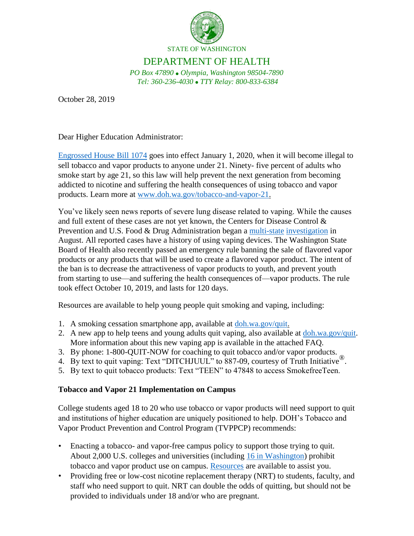

## DEPARTMENT OF HEALTH

*PO Box 47890 Olympia, Washington 98504-7890 Tel: 360-236-4030 TTY Relay: 800-833-6384*

October 28, 2019

Dear Higher Education Administrator:

[Engrossed House Bill 1074](http://lawfilesext.leg.wa.gov/biennium/2019-20/Pdf/Bills/House%20Passed%20Legislature/1074.PL.pdf) goes into effect January 1, 2020, when it will become illegal to sell tobacco and vapor products to anyone under 21. Ninety- five percent of adults who smoke start by age 21, so this law will help prevent the next generation from becoming addicted to nicotine and suffering the health consequences of using tobacco and vapor products. Learn more at [www.doh.wa.gov/tobacco-and-vapor-21.](http://www.doh.wa.gov/tobacco-and-vapor-21)

You've likely seen news reports of severe lung disease related to vaping. While the causes and full extent of these cases are not yet known, the Centers for Disease Control & Prevention and U.S. Food & Drug Administration began a [multi-state](https://www.cdc.gov/tobacco/basic_information/e-cigarettes/severe-lung-disease.html#latest-outbreak-information) [investigation](https://www.cdc.gov/tobacco/basic_information/e-cigarettes/severe-lung-disease.html#latest-outbreak-information) in August. All reported cases have a history of using vaping devices. The Washington State Board of Health also recently passed an emergency rule banning the sale of flavored vapor products or any products that will be used to create a flavored vapor product. The intent of the ban is to decrease the attractiveness of vapor products to youth, and prevent youth from starting to use—and suffering the health consequences of—vapor products. The rule took effect October 10, 2019, and lasts for 120 days.

Resources are available to help young people quit smoking and vaping, including:

- 1. A smoking cessation smartphone app, available at [doh.wa.gov/quit.](http://www.doh.wa.gov/quit)
- 2. A new app to help teens and young adults quit vaping, also available at [doh.wa.gov/quit.](http://www.doh.wa.gov/quit)  More information about this new vaping app is available in the attached FAQ.
- 3. By phone: 1-800-QUIT-NOW for coaching to quit tobacco and/or vapor products.
- 4. By text to quit vaping: Text "DITCHJUUL" to 887-09, courtesy of Truth Initiative<sup>®</sup>.
- 5. By text to quit tobacco products: Text "TEEN" to 47848 to access SmokefreeTeen.

## **Tobacco and Vapor 21 Implementation on Campus**

College students aged 18 to 20 who use tobacco or vapor products will need support to quit and institutions of higher education are uniquely positioned to help. DOH's Tobacco and Vapor Product Prevention and Control Program (TVPPCP) recommends:

- Enacting a tobacco- and vapor-free campus policy to support those trying to quit. About 2,000 U.S. colleges and universities (including [16 in Washington\)](https://no-smoke.org/wp-content/uploads/pdf/smokefreecollegesuniversities.pdf) prohibit tobacco and vapor product use on campus. [Resources](https://no-smoke.org/at-risk-places/colleges/) are available to assist you.
- Providing free or low-cost nicotine replacement therapy (NRT) to students, faculty, and staff who need support to quit. NRT can double the odds of quitting, but should not be provided to individuals under 18 and/or who are pregnant.